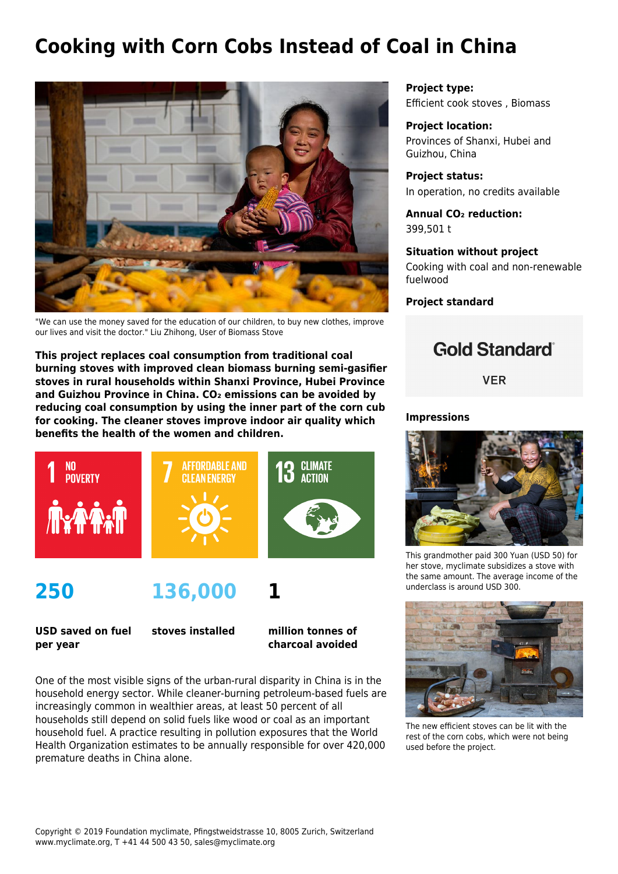# **Cooking with Corn Cobs Instead of Coal in China**



"We can use the money saved for the education of our children, to buy new clothes, improve our lives and visit the doctor." Liu Zhihong, User of Biomass Stove

**This project replaces coal consumption from traditional coal burning stoves with improved clean biomass burning semi-gasifier stoves in rural households within Shanxi Province, Hubei Province and Guizhou Province in China. CO₂ emissions can be avoided by reducing coal consumption by using the inner part of the corn cub for cooking. The cleaner stoves improve indoor air quality which benefits the health of the women and children.**



**250**

**136,000**

**USD saved on fuel per year**

**stoves installed**

**million tonnes of charcoal avoided**

**1**

One of the most visible signs of the urban-rural disparity in China is in the household energy sector. While cleaner-burning petroleum-based fuels are increasingly common in wealthier areas, at least 50 percent of all households still depend on solid fuels like wood or coal as an important household fuel. A practice resulting in pollution exposures that the World Health Organization estimates to be annually responsible for over 420,000 premature deaths in China alone.

**Project type:** Efficient cook stoves , Biomass

**Project location:** Provinces of Shanxi, Hubei and Guizhou, China

**Project status:** In operation, no credits available

**Annual CO₂ reduction:** 399,501 t

### **Situation without project**

Cooking with coal and non-renewable fuelwood

**Project standard**



**VER** 

#### **Impressions**



This grandmother paid 300 Yuan (USD 50) for her stove, myclimate subsidizes a stove with the same amount. The average income of the underclass is around USD 300.



The new efficient stoves can be lit with the rest of the corn cobs, which were not being used before the project.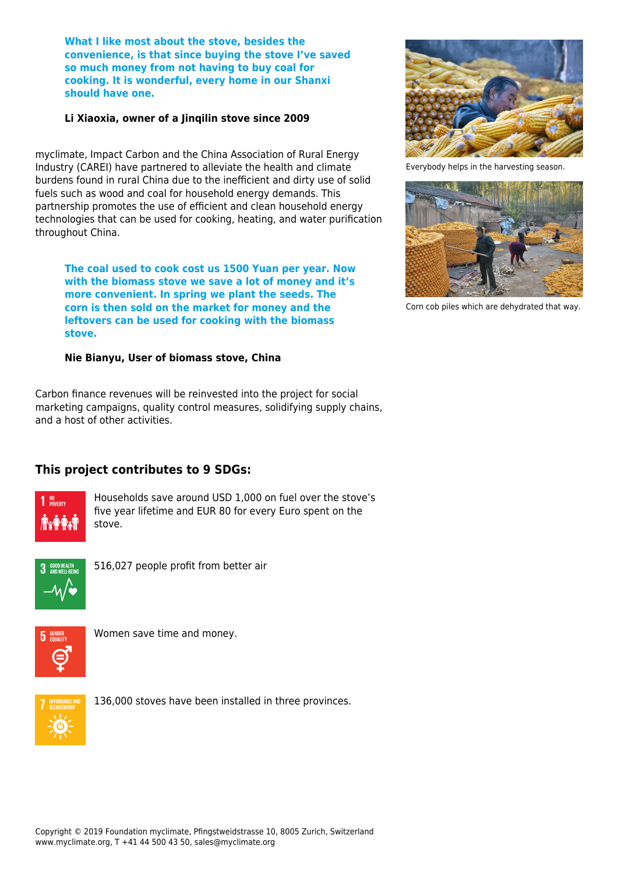**What I like most about the stove, besides the convenience, is that since buying the stove I've saved so much money from not having to buy coal for cooking. It is wonderful, every home in our Shanxi should have one.**

#### **Li Xiaoxia, owner of a Jinqilin stove since 2009**

myclimate, Impact Carbon and the China Association of Rural Energy Industry (CAREI) have partnered to alleviate the health and climate burdens found in rural China due to the inefficient and dirty use of solid fuels such as wood and coal for household energy demands. This partnership promotes the use of efficient and clean household energy technologies that can be used for cooking, heating, and water purification throughout China.

**The coal used to cook cost us 1500 Yuan per year. Now with the biomass stove we save a lot of money and it's more convenient. In spring we plant the seeds. The corn is then sold on the market for money and the leftovers can be used for cooking with the biomass stove.**

### **Nie Bianyu, User of biomass stove, China**

Carbon finance revenues will be reinvested into the project for social marketing campaigns, quality control measures, solidifying supply chains, and a host of other activities.

## **This project contributes to 9 SDGs:**



Households save around USD 1,000 on fuel over the stove's five year lifetime and EUR 80 for every Euro spent on the stove.



516,027 people profit from better air



Women save time and money.



136,000 stoves have been installed in three provinces.



Everybody helps in the harvesting season.



Corn cob piles which are dehydrated that way.